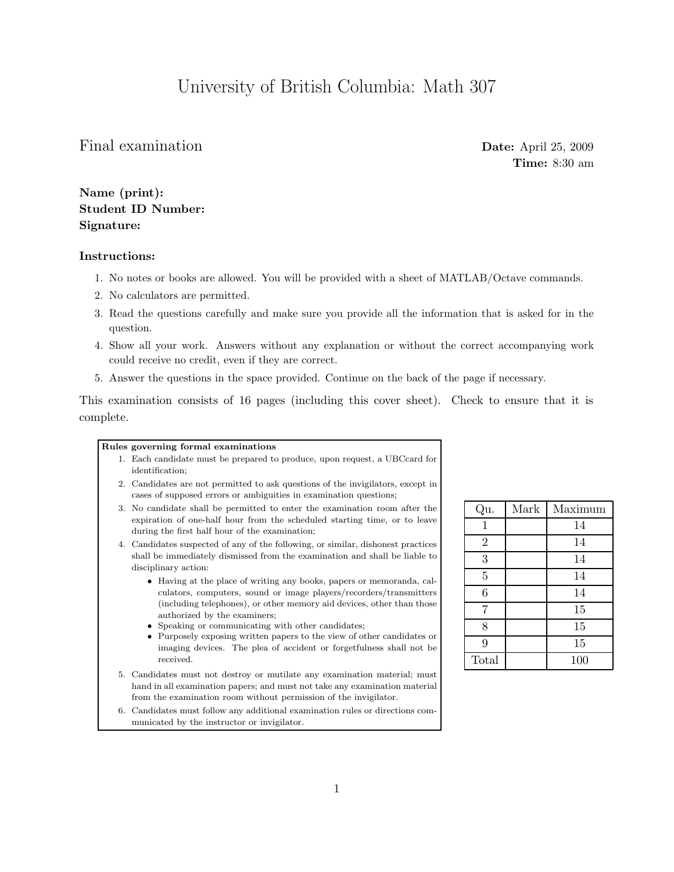## University of British Columbia: Math 307

## Final examination Date: April 25, 2009

Time: 8:30 am

Name (print): Student ID Number: Signature:

## Instructions:

- 1. No notes or books are allowed. You will be provided with a sheet of MATLAB/Octave commands.
- 2. No calculators are permitted.
- 3. Read the questions carefully and make sure you provide all the information that is asked for in the question.
- 4. Show all your work. Answers without any explanation or without the correct accompanying work could receive no credit, even if they are correct.
- 5. Answer the questions in the space provided. Continue on the back of the page if necessary.

This examination consists of 16 pages (including this cover sheet). Check to ensure that it is complete.

## Rules governing formal examinations

- 1. Each candidate must be prepared to produce, upon request, a UBCcard for identification;
- 2. Candidates are not permitted to ask questions of the invigilators, except in cases of supposed errors or ambiguities in examination questions;
- 3. No candidate shall be permitted to enter the examination room after the expiration of one-half hour from the scheduled starting time, or to leave during the first half hour of the examination;
- 4. Candidates suspected of any of the following, or similar, dishonest practices shall be immediately dismissed from the examination and shall be liable to disciplinary action:
	- Having at the place of writing any books, papers or memoranda, calculators, computers, sound or image players/recorders/transmitters (including telephones), or other memory aid devices, other than those authorized by the examiners;
	- Speaking or communicating with other candidates;
	- Purposely exposing written papers to the view of other candidates or imaging devices. The plea of accident or forgetfulness shall not be received.
- 5. Candidates must not destroy or mutilate any examination material; must hand in all examination papers; and must not take any examination material from the examination room without permission of the invigilator.
- 6. Candidates must follow any additional examination rules or directions communicated by the instructor or invigilator.

| Qu.            | Mark | Maximum |
|----------------|------|---------|
| $\mathbf{1}$   |      | 14      |
| $\overline{2}$ |      | 14      |
| 3              |      | 14      |
| $\overline{5}$ |      | 14      |
| 6              |      | 14      |
| $\overline{7}$ |      | 15      |
| 8              |      | 15      |
| 9              |      | 15      |
| Total          |      | 100     |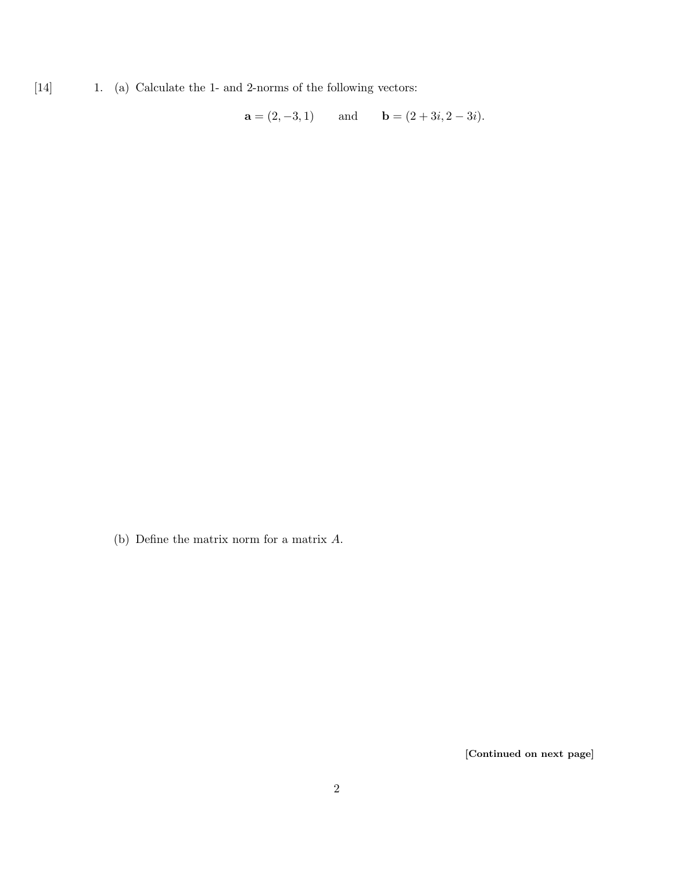[14] 1. (a) Calculate the 1- and 2-norms of the following vectors:

 $\mathbf{a} = (2, -3, 1)$  and  $\mathbf{b} = (2 + 3i, 2 - 3i).$ 

(b) Define the matrix norm for a matrix A.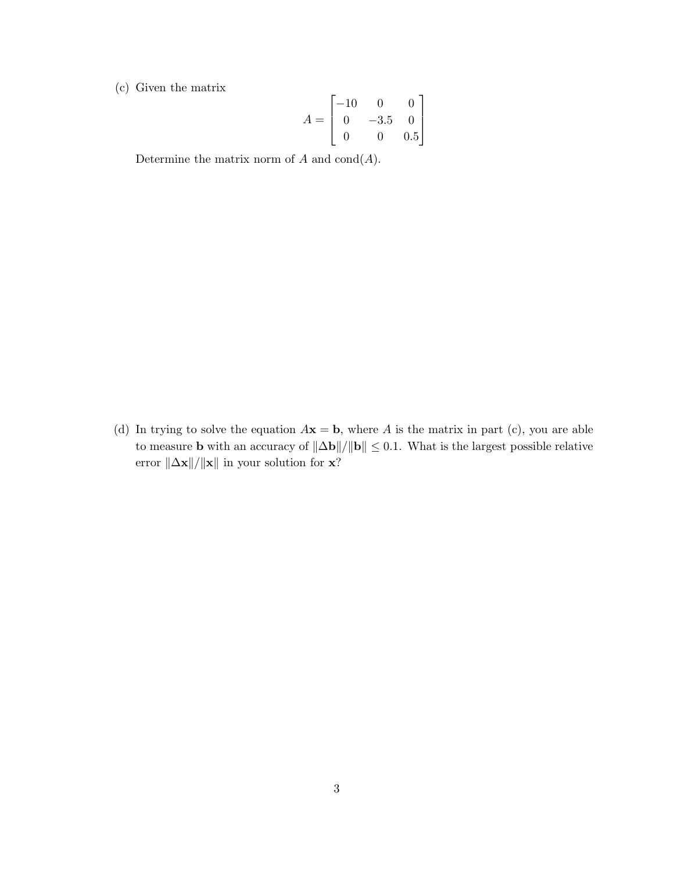(c) Given the matrix

$$
A = \begin{bmatrix} -10 & 0 & 0 \\ 0 & -3.5 & 0 \\ 0 & 0 & 0.5 \end{bmatrix}
$$

Determine the matrix norm of  $A$  and  $\text{cond}(A)$ .

(d) In trying to solve the equation  $A\mathbf{x} = \mathbf{b}$ , where A is the matrix in part (c), you are able to measure **b** with an accuracy of  $\|\Delta\mathbf{b}\|/\|\mathbf{b}\| \leq 0.1$ . What is the largest possible relative error  $\|\Delta\mathbf{x}\|/\|\mathbf{x}\|$  in your solution for  $\mathbf{x} ?$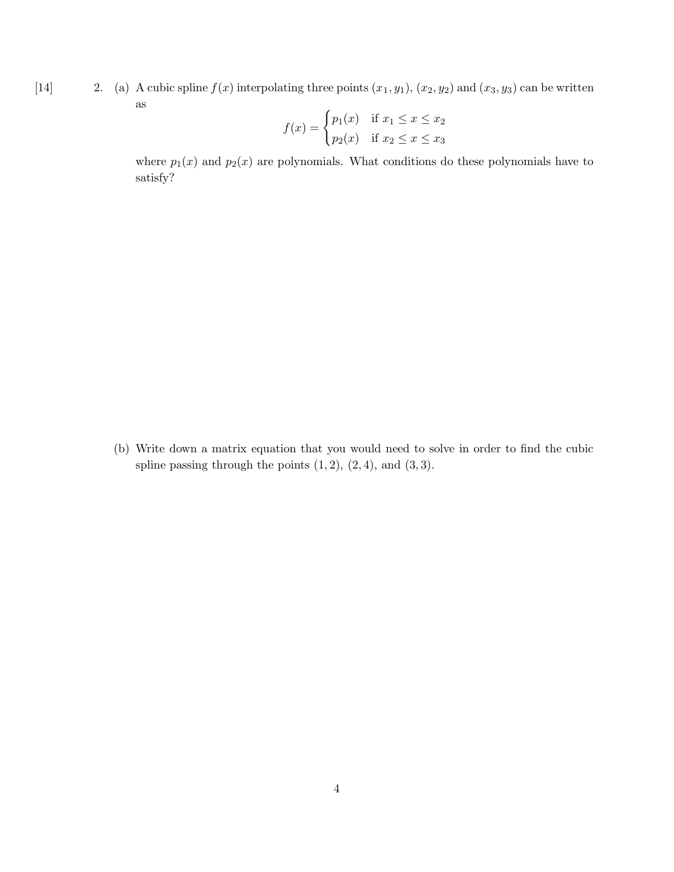[14] 2. (a) A cubic spline  $f(x)$  interpolating three points  $(x_1, y_1)$ ,  $(x_2, y_2)$  and  $(x_3, y_3)$  can be written as

$$
f(x) = \begin{cases} p_1(x) & \text{if } x_1 \le x \le x_2 \\ p_2(x) & \text{if } x_2 \le x \le x_3 \end{cases}
$$

where  $p_1(x)$  and  $p_2(x)$  are polynomials. What conditions do these polynomials have to satisfy?

(b) Write down a matrix equation that you would need to solve in order to find the cubic spline passing through the points  $(1, 2)$ ,  $(2, 4)$ , and  $(3, 3)$ .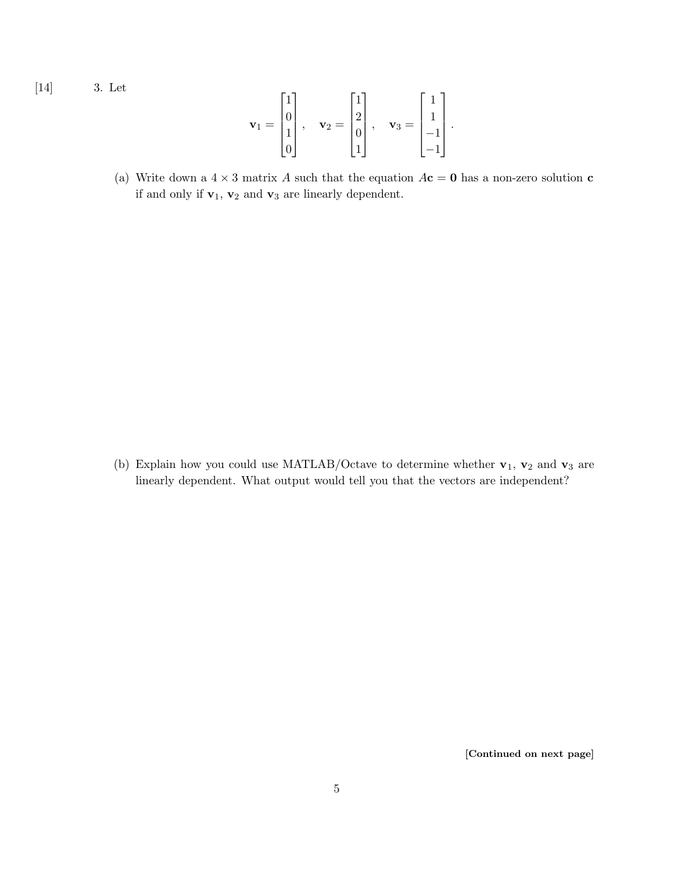[14] 3. Let

$$
\mathbf{v}_1 = \begin{bmatrix} 1 \\ 0 \\ 1 \\ 0 \end{bmatrix}, \quad \mathbf{v}_2 = \begin{bmatrix} 1 \\ 2 \\ 0 \\ 1 \end{bmatrix}, \quad \mathbf{v}_3 = \begin{bmatrix} 1 \\ 1 \\ -1 \\ -1 \end{bmatrix}.
$$

(a) Write down a  $4 \times 3$  matrix A such that the equation  $A\mathbf{c} = \mathbf{0}$  has a non-zero solution  $\mathbf{c}$ if and only if  $\mathbf{v}_1$ ,  $\mathbf{v}_2$  and  $\mathbf{v}_3$  are linearly dependent.

(b) Explain how you could use MATLAB/Octave to determine whether  $\mathbf{v}_1$ ,  $\mathbf{v}_2$  and  $\mathbf{v}_3$  are linearly dependent. What output would tell you that the vectors are independent?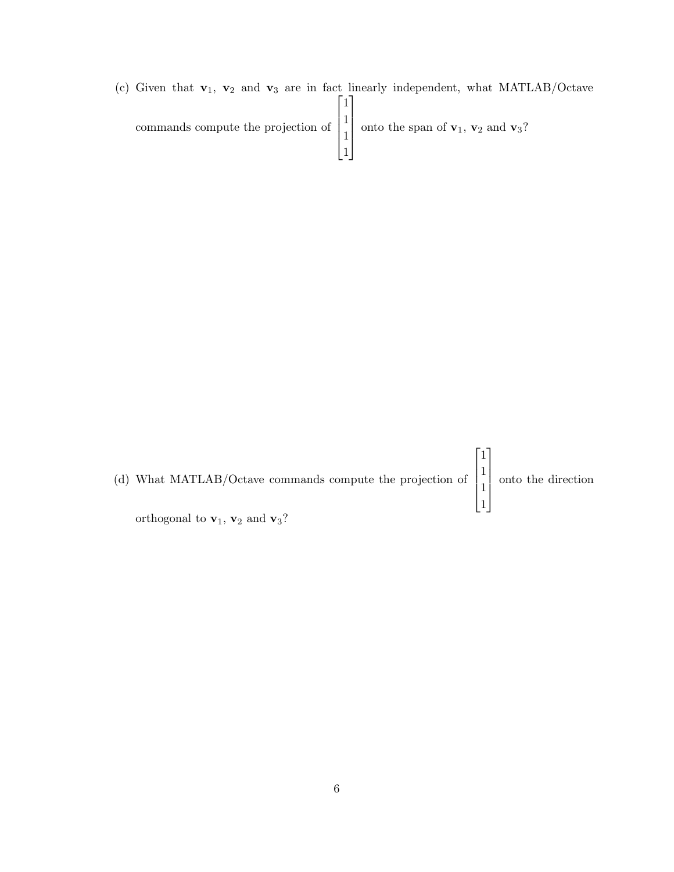(c) Given that  $\mathbf{v}_1$ ,  $\mathbf{v}_2$  and  $\mathbf{v}_3$  are in fact linearly independent, what MATLAB/Octave commands compute the projection of  $\sqrt{ }$  1 1 1 1 1  $\begin{array}{c} \n\downarrow \\
\downarrow \\
\downarrow\n\end{array}$ onto the span of  $v_1$ ,  $v_2$  and  $v_3$ ?

| (d) What MATLAB/Octave commands compute the projection of $\begin{bmatrix} 1 \\ 1 \end{bmatrix}$ onto the direction |  |
|---------------------------------------------------------------------------------------------------------------------|--|
| orthogonal to $v_1$ , $v_2$ and $v_3$ ?                                                                             |  |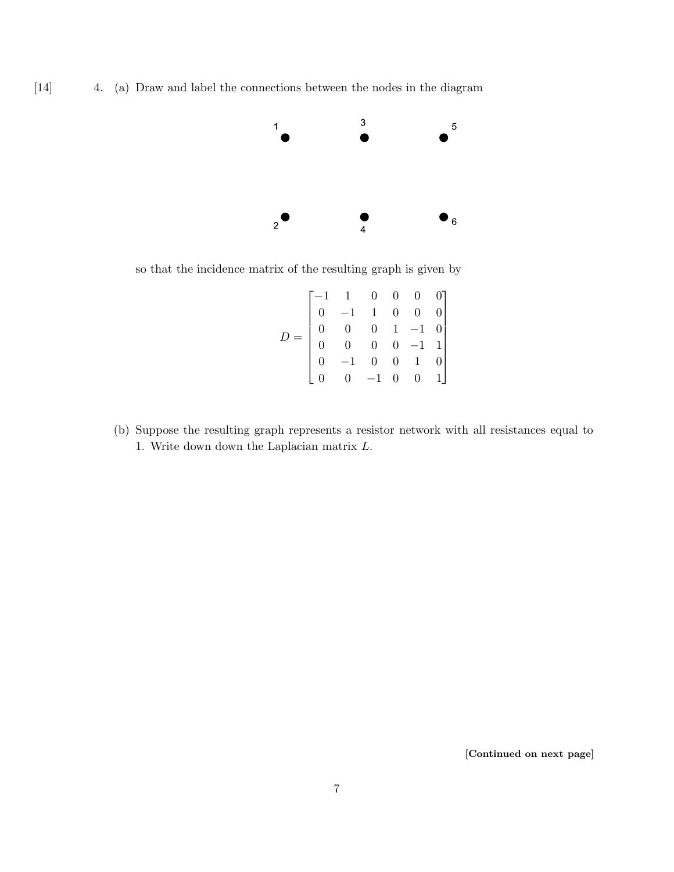

so that the incidence matrix of the resulting graph is given by

|  | $\begin{bmatrix} -1 & 1 & 0 & 0 & 0 & 0 \ 0 & -1 & 1 & 0 & 0 & 0 \ 0 & 0 & 0 & 1 & -1 & 0 \ 0 & 0 & 0 & 0 & -1 & 1 \ 0 & -1 & 0 & 0 & 1 & 0 \ 0 & 0 & -1 & 0 & 0 & 1 \ \end{bmatrix}$ | $\begin{bmatrix} 0 & 1 \end{bmatrix}$ |  |
|--|---------------------------------------------------------------------------------------------------------------------------------------------------------------------------------------|---------------------------------------|--|

(b) Suppose the resulting graph represents a resistor network with all resistances equal to 1. Write down down the Laplacian matrix L.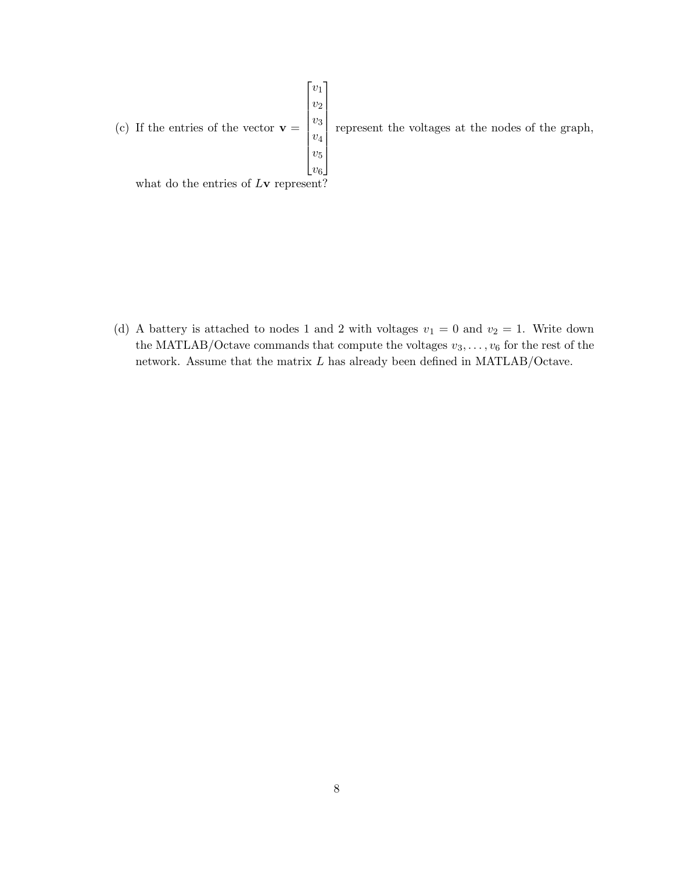

(d) A battery is attached to nodes 1 and 2 with voltages  $v_1 = 0$  and  $v_2 = 1$ . Write down the MATLAB/Octave commands that compute the voltages  $v_3, \ldots, v_6$  for the rest of the network. Assume that the matrix L has already been defined in MATLAB/Octave.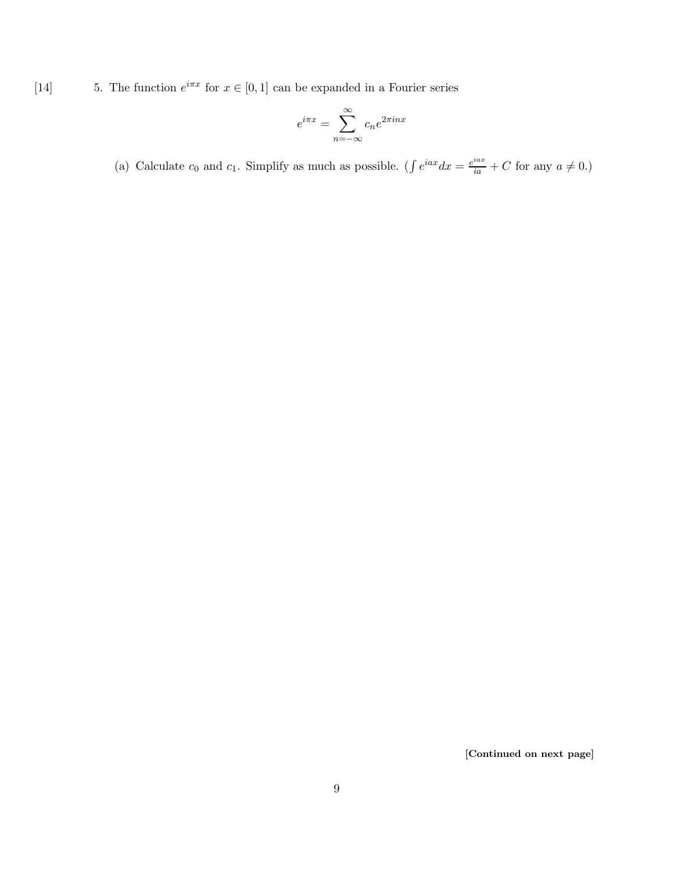[14] 5. The function  $e^{i\pi x}$  for  $x \in [0,1]$  can be expanded in a Fourier series

$$
e^{i\pi x} = \sum_{n=-\infty}^{\infty} c_n e^{2\pi i n x}
$$

(a) Calculate  $c_0$  and  $c_1$ . Simplify as much as possible. ( $\int e^{iax} dx = \frac{e^{iax}}{ia} + C$  for any  $a \neq 0$ .)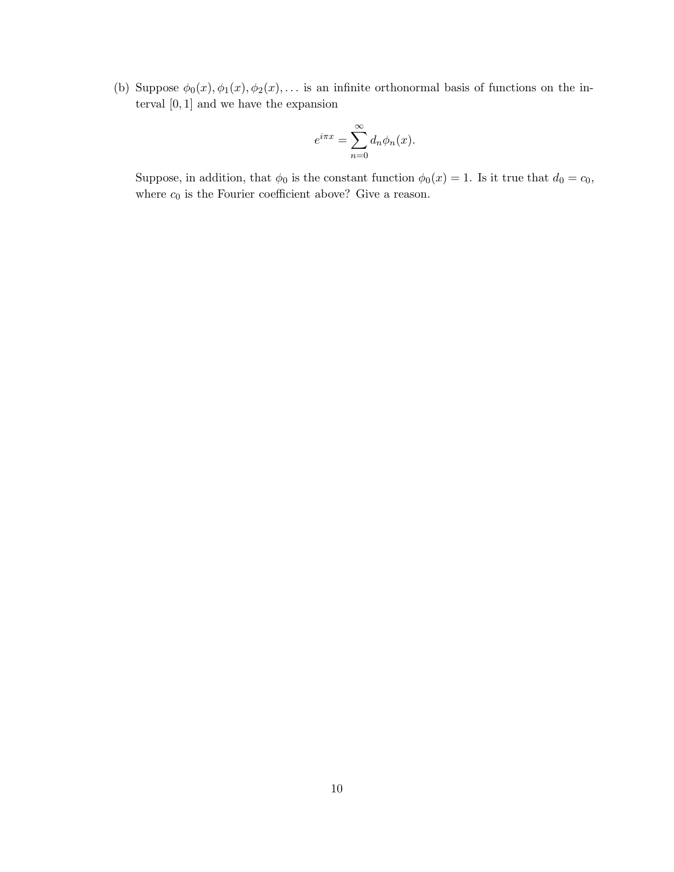(b) Suppose  $\phi_0(x), \phi_1(x), \phi_2(x), \ldots$  is an infinite orthonormal basis of functions on the interval  $\left[0,1\right]$  and we have the expansion

$$
e^{i\pi x} = \sum_{n=0}^{\infty} d_n \phi_n(x).
$$

Suppose, in addition, that  $\phi_0$  is the constant function  $\phi_0(x) = 1$ . Is it true that  $d_0 = c_0$ , where  $c_0$  is the Fourier coefficient above? Give a reason.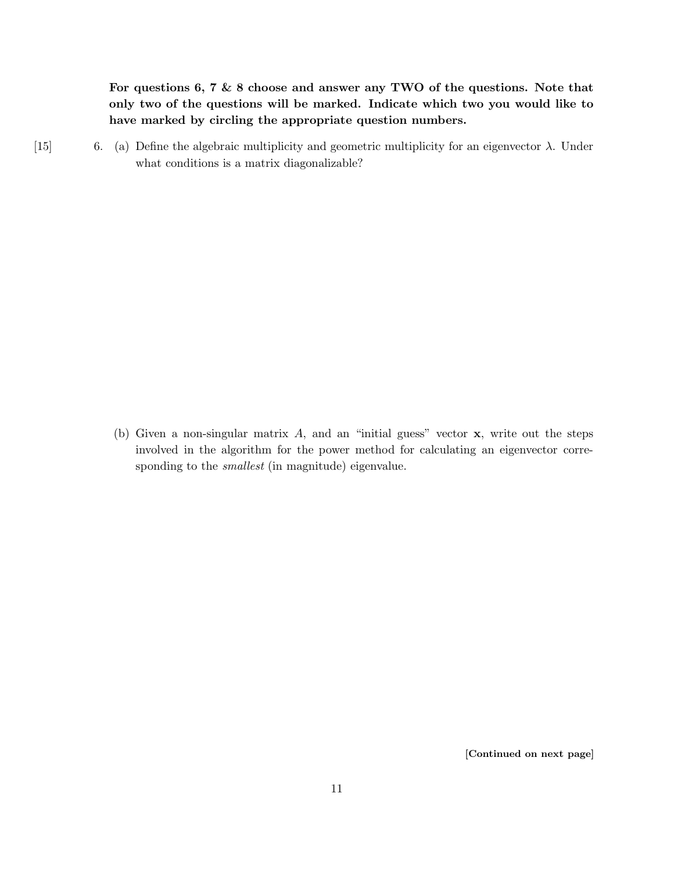For questions 6, 7  $\&$  8 choose and answer any TWO of the questions. Note that only two of the questions will be marked. Indicate which two you would like to have marked by circling the appropriate question numbers.

[15] 6. (a) Define the algebraic multiplicity and geometric multiplicity for an eigenvector  $\lambda$ . Under what conditions is a matrix diagonalizable?

> (b) Given a non-singular matrix  $A$ , and an "initial guess" vector  $x$ , write out the steps involved in the algorithm for the power method for calculating an eigenvector corresponding to the smallest (in magnitude) eigenvalue.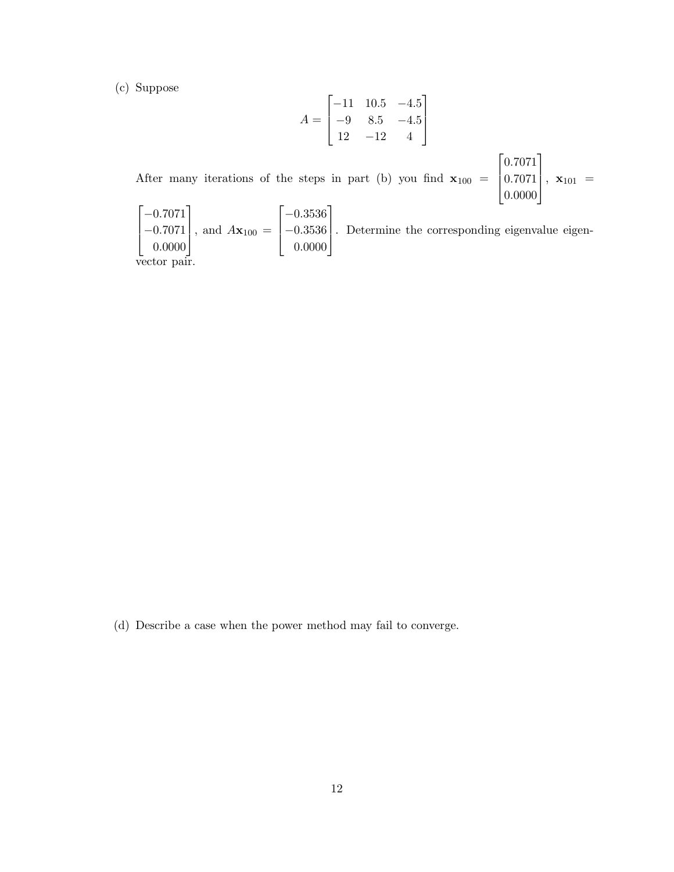(c) Suppose

0.0000

vector pair.

$$
A = \begin{bmatrix} -11 & 10.5 & -4.5 \\ -9 & 8.5 & -4.5 \\ 12 & -12 & 4 \end{bmatrix}
$$

After many iterations of the steps in part (b) you find  $\mathbf{x}_{100}$  =  $\sqrt{ }$  $\Big\}$ 0.7071 0.7071 0.0000 1  $\Big\}, \mathbf{x}_{101} =$  $\lceil$  $\overline{\phantom{a}}$  $-0.7071$  $-0.7071$ 1 , and  $A\mathbf{x}_{100} =$  $\sqrt{ }$  $\overline{\phantom{a}}$ −0.3536 −0.3536 1 . Determine the corresponding eigenvalue eigen-

0.0000

(d) Describe a case when the power method may fail to converge.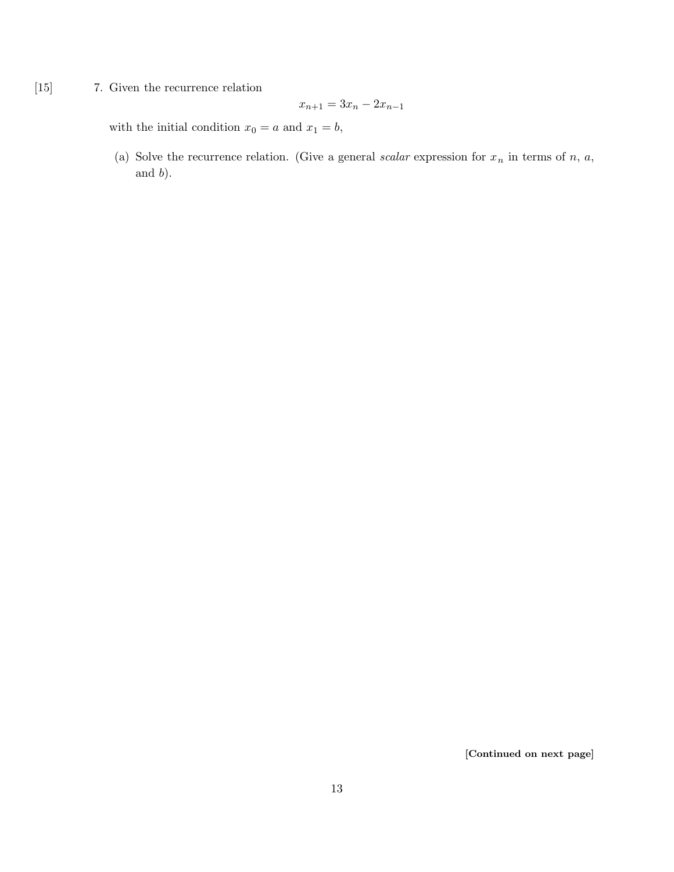[15] 7. Given the recurrence relation

$$
x_{n+1} = 3x_n - 2x_{n-1}
$$

with the initial condition  $x_0 = a$  and  $x_1 = b$ ,

(a) Solve the recurrence relation. (Give a general scalar expression for  $x_n$  in terms of n, a, and b).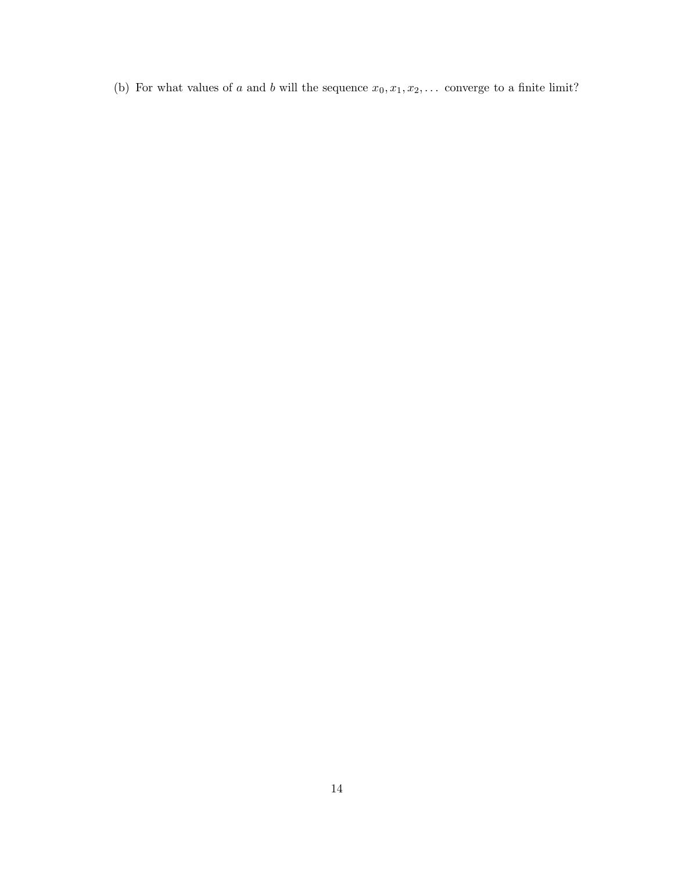(b) For what values of a and b will the sequence  $x_0, x_1, x_2, \ldots$  converge to a finite limit?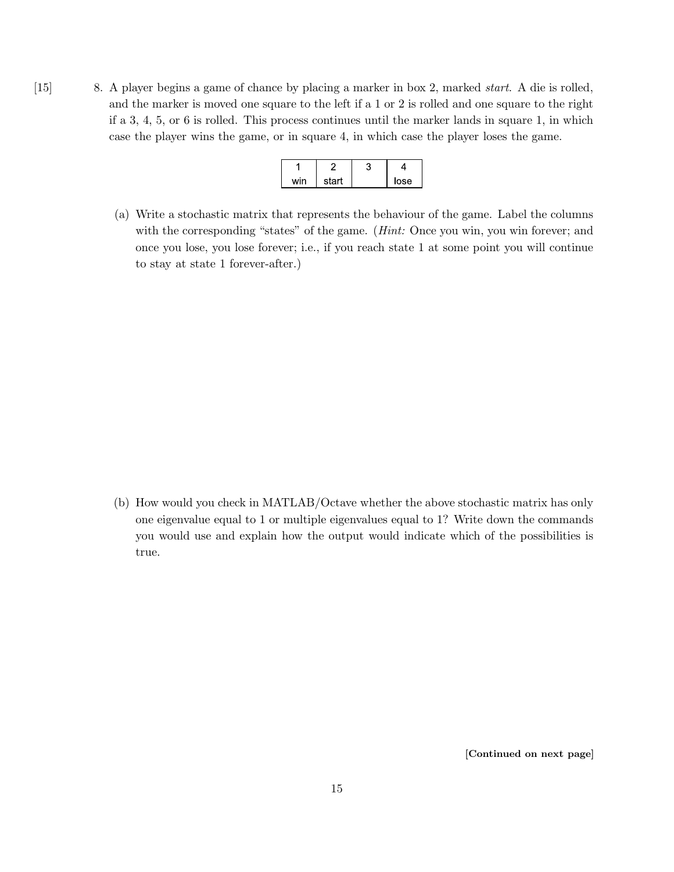[15] 8. A player begins a game of chance by placing a marker in box 2, marked start. A die is rolled, and the marker is moved one square to the left if a 1 or 2 is rolled and one square to the right if a 3, 4, 5, or 6 is rolled. This process continues until the marker lands in square 1, in which case the player wins the game, or in square 4, in which case the player loses the game.

| wir | start | lose |
|-----|-------|------|

(a) Write a stochastic matrix that represents the behaviour of the game. Label the columns with the corresponding "states" of the game. (*Hint:* Once you win, you win forever; and once you lose, you lose forever; i.e., if you reach state 1 at some point you will continue to stay at state 1 forever-after.)

(b) How would you check in MATLAB/Octave whether the above stochastic matrix has only one eigenvalue equal to 1 or multiple eigenvalues equal to 1? Write down the commands you would use and explain how the output would indicate which of the possibilities is true.